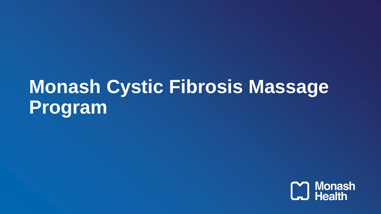# **Monash Cystic Fibrosis Massage Program**

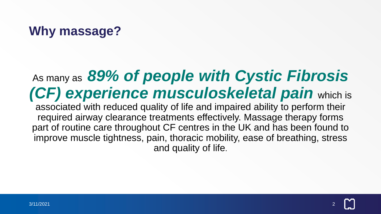### **Why massage?**

# As many as *89% of people with Cystic Fibrosis (CF) experience musculoskeletal pain* which is

associated with reduced quality of life and impaired ability to perform their required airway clearance treatments effectively. Massage therapy forms part of routine care throughout CF centres in the UK and has been found to improve muscle tightness, pain, thoracic mobility, ease of breathing, stress and quality of life.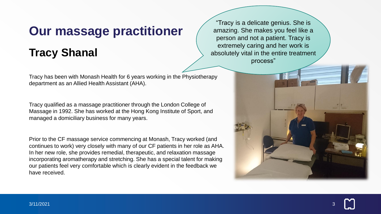#### **Our massage practitioner**

#### **Tracy Shanal**

Tracy has been with Monash Health for 6 years working in the Physiotherapy department as an Allied Health Assistant (AHA).

Tracy qualified as a massage practitioner through the London College of Massage in 1992. She has worked at the Hong Kong Institute of Sport, and managed a domiciliary business for many years.

Prior to the CF massage service commencing at Monash, Tracy worked (and continues to work) very closely with many of our CF patients in her role as AHA. In her new role, she provides remedial, therapeutic, and relaxation massage incorporating aromatherapy and stretching. She has a special talent for making our patients feel very comfortable which is clearly evident in the feedback we have received.

"Tracy is a delicate genius. She is amazing. She makes you feel like a person and not a patient. Tracy is extremely caring and her work is absolutely vital in the entire treatment process"



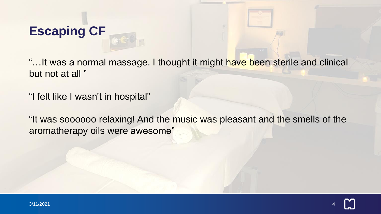## **Escaping CF**

"... It was a normal massage. I thought it might have been sterile and clinical but not at all "

"I felt like I wasn't in hospital"

"It was soooooo relaxing! And the music was pleasant and the smells of the aromatherapy oils were awesome"